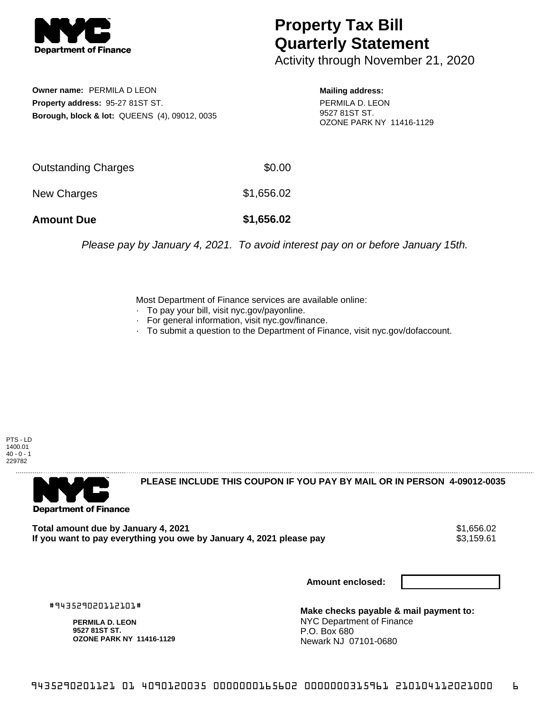

## **Property Tax Bill Quarterly Statement**

Activity through November 21, 2020

**Owner name:** PERMILA D LEON **Property address:** 95-27 81ST ST. **Borough, block & lot:** QUEENS (4), 09012, 0035

**Mailing address:** PERMILA D. LEON 9527 81ST ST. OZONE PARK NY 11416-1129

| <b>Amount Due</b>   | \$1,656.02 |
|---------------------|------------|
| New Charges         | \$1,656.02 |
| Outstanding Charges | \$0.00     |

Please pay by January 4, 2021. To avoid interest pay on or before January 15th.

Most Department of Finance services are available online:

- · To pay your bill, visit nyc.gov/payonline.
- For general information, visit nyc.gov/finance.
- · To submit a question to the Department of Finance, visit nyc.gov/dofaccount.

PTS - LD 1400.01  $40 - 0 - 1$ 229782



**PLEASE INCLUDE THIS COUPON IF YOU PAY BY MAIL OR IN PERSON 4-09012-0035** 

**Total amount due by January 4, 2021**<br>If you want to pay everything you owe by January 4, 2021 please pay **1988** \$3,159.61 If you want to pay everything you owe by January 4, 2021 please pay

**Amount enclosed:**

#943529020112101#

**PERMILA D. LEON 9527 81ST ST. OZONE PARK NY 11416-1129**

**Make checks payable & mail payment to:** NYC Department of Finance P.O. Box 680 Newark NJ 07101-0680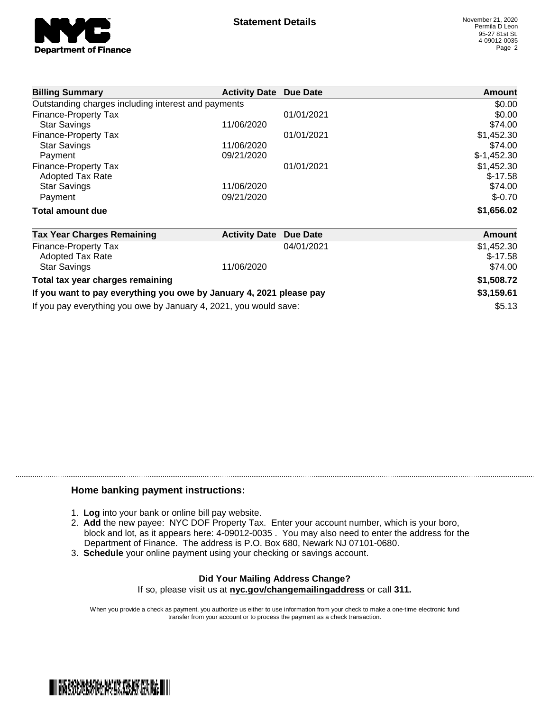

| <b>Billing Summary</b>                                              | <b>Activity Date Due Date</b> |                 | Amount       |
|---------------------------------------------------------------------|-------------------------------|-----------------|--------------|
| Outstanding charges including interest and payments                 | \$0.00                        |                 |              |
| Finance-Property Tax                                                |                               | 01/01/2021      | \$0.00       |
| <b>Star Savings</b>                                                 | 11/06/2020                    |                 | \$74.00      |
| Finance-Property Tax                                                |                               | 01/01/2021      | \$1,452.30   |
| <b>Star Savings</b>                                                 | 11/06/2020                    |                 | \$74.00      |
| Payment                                                             | 09/21/2020                    |                 | $$-1,452.30$ |
| Finance-Property Tax                                                |                               | 01/01/2021      | \$1,452.30   |
| <b>Adopted Tax Rate</b>                                             |                               |                 | $$-17.58$    |
| <b>Star Savings</b>                                                 | 11/06/2020                    |                 | \$74.00      |
| Payment                                                             | 09/21/2020                    |                 | $$-0.70$     |
| Total amount due                                                    |                               |                 | \$1,656.02   |
| <b>Tax Year Charges Remaining</b>                                   | <b>Activity Date</b>          | <b>Due Date</b> | Amount       |
| <b>Finance-Property Tax</b>                                         |                               | 04/01/2021      | \$1,452.30   |
| <b>Adopted Tax Rate</b>                                             |                               |                 | $$-17.58$    |
| <b>Star Savings</b>                                                 | 11/06/2020                    |                 | \$74.00      |
| Total tax year charges remaining                                    |                               |                 | \$1,508.72   |
| If you want to pay everything you owe by January 4, 2021 please pay |                               |                 | \$3,159.61   |

If you pay everything you owe by January 4, 2021, you would save:  $$5.13$ 

## **Home banking payment instructions:**

- 1. **Log** into your bank or online bill pay website.
- 2. **Add** the new payee: NYC DOF Property Tax. Enter your account number, which is your boro, block and lot, as it appears here: 4-09012-0035 . You may also need to enter the address for the Department of Finance. The address is P.O. Box 680, Newark NJ 07101-0680.
- 3. **Schedule** your online payment using your checking or savings account.

## **Did Your Mailing Address Change?** If so, please visit us at **nyc.gov/changemailingaddress** or call **311.**

When you provide a check as payment, you authorize us either to use information from your check to make a one-time electronic fund transfer from your account or to process the payment as a check transaction.